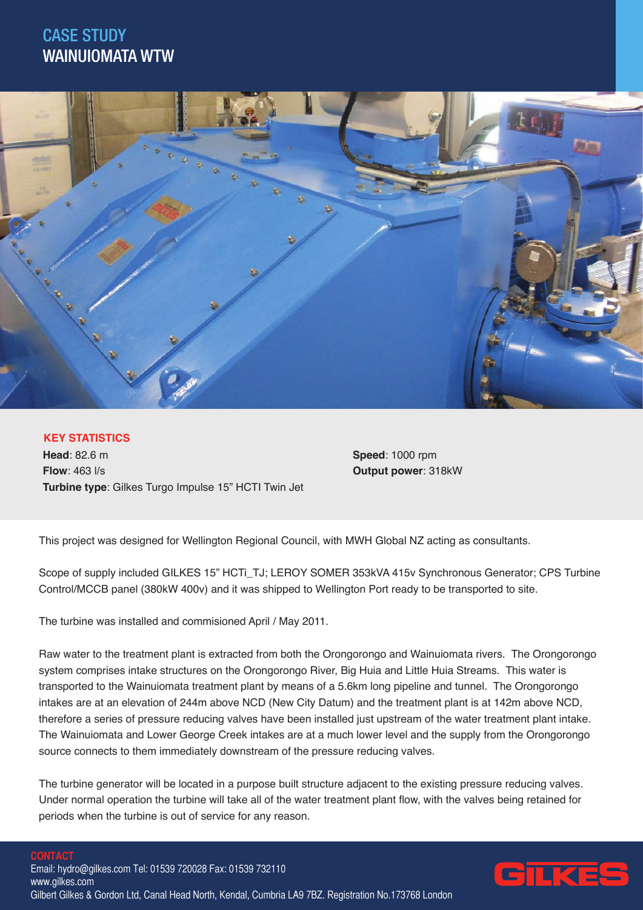## CASE STUDY WAINUIOMATA WTW



## **KEY STATISTICS**

**Head**: 82.6 m **Flow**: 463 l/s **Turbine type**: Gilkes Turgo Impulse 15" HCTI Twin Jet **Speed**: 1000 rpm **Output power**: 318kW

This project was designed for Wellington Regional Council, with MWH Global NZ acting as consultants.

Scope of supply included GILKES 15" HCTi\_TJ; LEROY SOMER 353kVA 415v Synchronous Generator; CPS Turbine Control/MCCB panel (380kW 400v) and it was shipped to Wellington Port ready to be transported to site.

The turbine was installed and commisioned April / May 2011.

Raw water to the treatment plant is extracted from both the Orongorongo and Wainuiomata rivers. The Orongorongo system comprises intake structures on the Orongorongo River, Big Huia and Little Huia Streams. This water is transported to the Wainuiomata treatment plant by means of a 5.6km long pipeline and tunnel. The Orongorongo intakes are at an elevation of 244m above NCD (New City Datum) and the treatment plant is at 142m above NCD, therefore a series of pressure reducing valves have been installed just upstream of the water treatment plant intake. The Wainuiomata and Lower George Creek intakes are at a much lower level and the supply from the Orongorongo source connects to them immediately downstream of the pressure reducing valves.

The turbine generator will be located in a purpose built structure adjacent to the existing pressure reducing valves. Under normal operation the turbine will take all of the water treatment plant flow, with the valves being retained for periods when the turbine is out of service for any reason.

## **CONTACT**